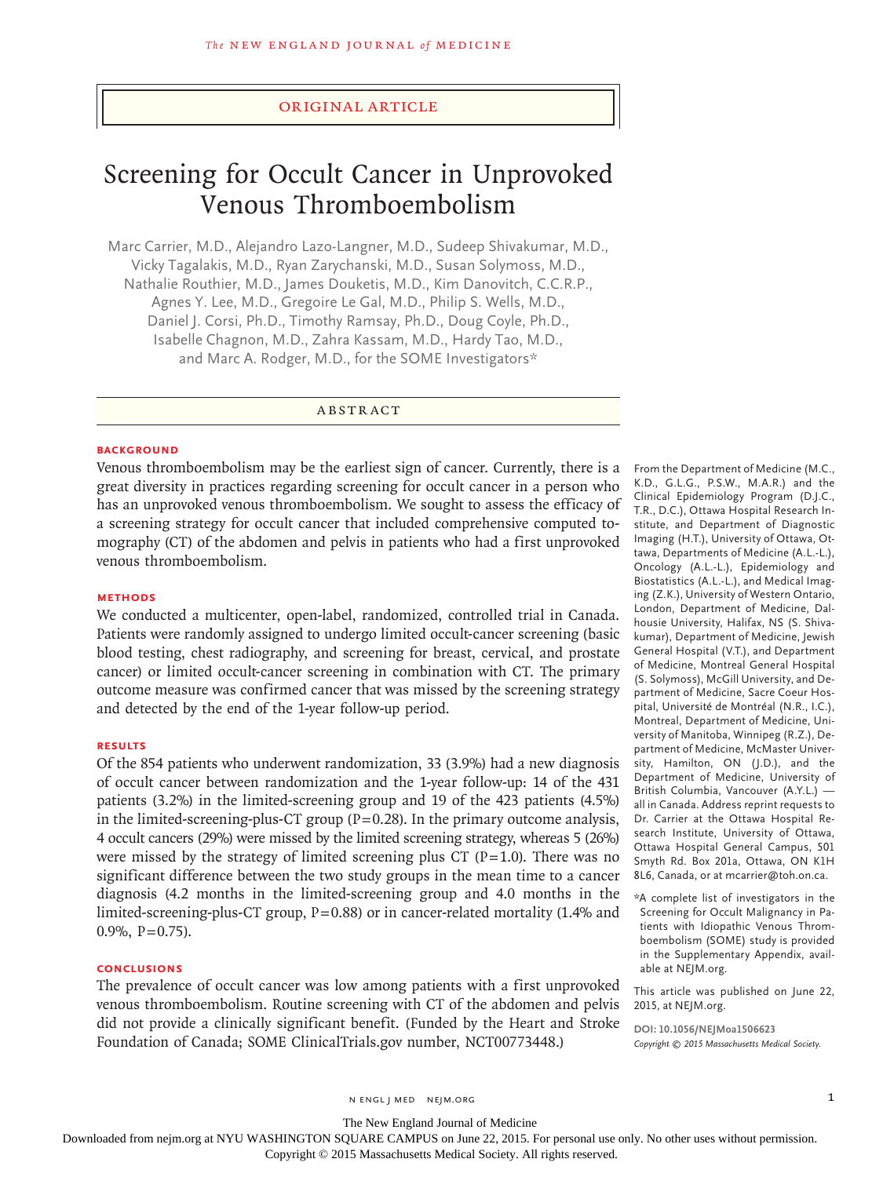## Original Article

# Screening for Occult Cancer in Unprovoked Venous Thromboembolism

Marc Carrier, M.D., Alejandro Lazo-Langner, M.D., Sudeep Shivakumar, M.D., Vicky Tagalakis, M.D., Ryan Zarychanski, M.D., Susan Solymoss, M.D., Nathalie Routhier, M.D., James Douketis, M.D., Kim Danovitch, C.C.R.P., Agnes Y. Lee, M.D., Gregoire Le Gal, M.D., Philip S. Wells, M.D., Daniel J. Corsi, Ph.D., Timothy Ramsay, Ph.D., Doug Coyle, Ph.D., Isabelle Chagnon, M.D., Zahra Kassam, M.D., Hardy Tao, M.D., and Marc A. Rodger, M.D., for the SOME Investigators\*

ABSTRACT

#### **BACKGROUND**

Venous thromboembolism may be the earliest sign of cancer. Currently, there is a great diversity in practices regarding screening for occult cancer in a person who has an unprovoked venous thromboembolism. We sought to assess the efficacy of a screening strategy for occult cancer that included comprehensive computed tomography (CT) of the abdomen and pelvis in patients who had a first unprovoked venous thromboembolism.

# **METHODS**

We conducted a multicenter, open-label, randomized, controlled trial in Canada. Patients were randomly assigned to undergo limited occult-cancer screening (basic blood testing, chest radiography, and screening for breast, cervical, and prostate cancer) or limited occult-cancer screening in combination with CT. The primary outcome measure was confirmed cancer that was missed by the screening strategy and detected by the end of the 1-year follow-up period.

# **RESULTS**

Of the 854 patients who underwent randomization, 33 (3.9%) had a new diagnosis of occult cancer between randomization and the 1-year follow-up: 14 of the 431 patients (3.2%) in the limited-screening group and 19 of the 423 patients (4.5%) in the limited-screening-plus-CT group  $(P=0.28)$ . In the primary outcome analysis, 4 occult cancers (29%) were missed by the limited screening strategy, whereas 5 (26%) were missed by the strategy of limited screening plus CT ( $P=1.0$ ). There was no significant difference between the two study groups in the mean time to a cancer diagnosis (4.2 months in the limited-screening group and 4.0 months in the limited-screening-plus-CT group,  $P=0.88$ ) or in cancer-related mortality (1.4% and  $0.9\%$ , P=0.75).

# **CONCLUSIONS**

The prevalence of occult cancer was low among patients with a first unprovoked venous thromboembolism. Routine screening with CT of the abdomen and pelvis did not provide a clinically significant benefit. (Funded by the Heart and Stroke Foundation of Canada; SOME ClinicalTrials.gov number, NCT00773448.)

From the Department of Medicine (M.C., K.D., G.L.G., P.S.W., M.A.R.) and the Clinical Epidemiology Program (D.J.C., T.R., D.C.), Ottawa Hospital Research Institute, and Department of Diagnostic Imaging (H.T.), University of Ottawa, Ottawa, Departments of Medicine (A.L.-L.), Oncology (A.L.-L.), Epidemiology and Biostatistics (A.L.-L.), and Medical Imaging (Z.K.), University of Western Ontario, London, Department of Medicine, Dalhousie University, Halifax, NS (S. Shivakumar), Department of Medicine, Jewish General Hospital (V.T.), and Department of Medicine, Montreal General Hospital (S. Solymoss), McGill University, and Department of Medicine, Sacre Coeur Hospital, Université de Montréal (N.R., I.C.), Montreal, Department of Medicine, University of Manitoba, Winnipeg (R.Z.), Department of Medicine, McMaster University, Hamilton, ON (J.D.), and the Department of Medicine, University of British Columbia, Vancouver (A.Y.L.) all in Canada. Address reprint requests to Dr. Carrier at the Ottawa Hospital Research Institute, University of Ottawa, Ottawa Hospital General Campus, 501 Smyth Rd. Box 201a, Ottawa, ON K1H 8L6, Canada, or at mcarrier@toh.on.ca.

\*A complete list of investigators in the Screening for Occult Malignancy in Patients with Idiopathic Venous Thromboembolism (SOME) study is provided in the Supplementary Appendix, available at NEJM.org.

This article was published on June 22, 2015, at NEJM.org.

**DOI: 10.1056/NEJMoa1506623** *Copyright © 2015 Massachusetts Medical Society.*

The New England Journal of Medicine

Downloaded from nejm.org at NYU WASHINGTON SQUARE CAMPUS on June 22, 2015. For personal use only. No other uses without permission.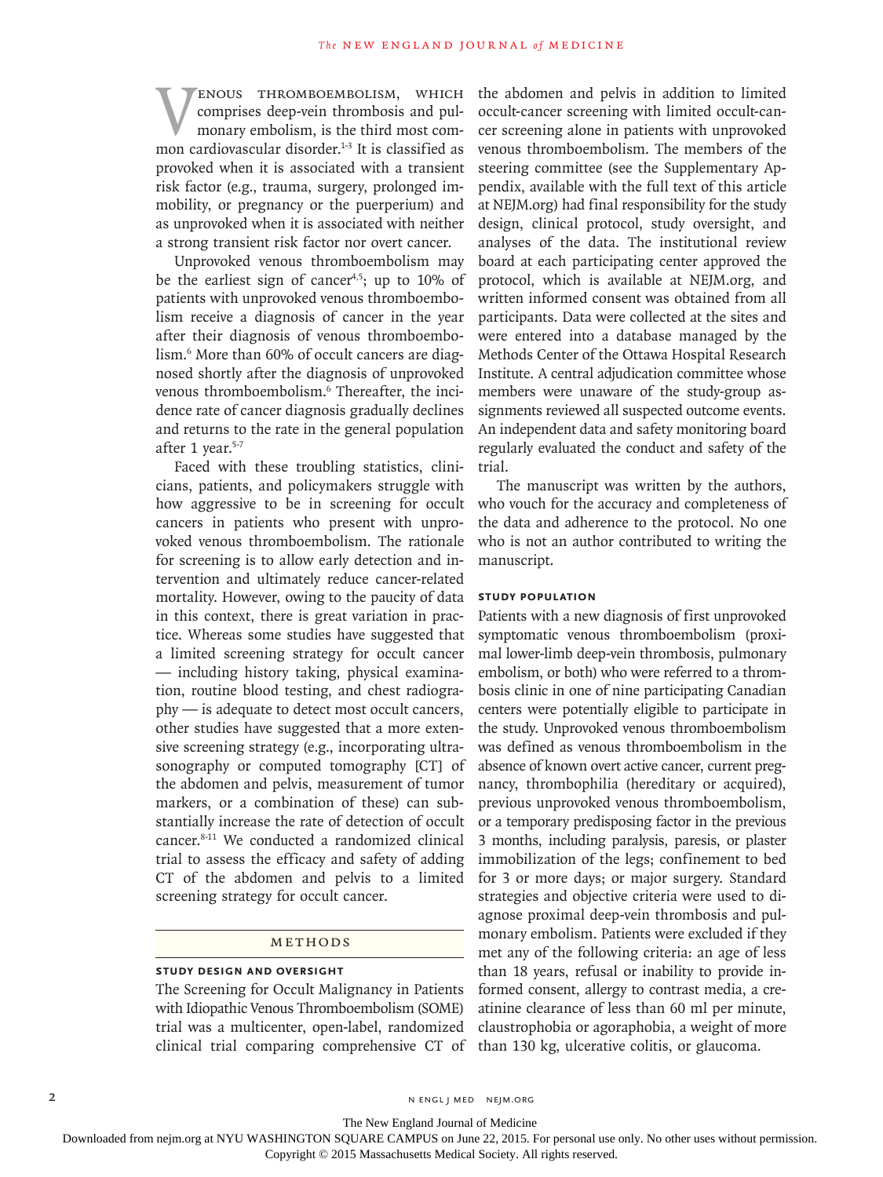**WENOUS THROMBOEMBOLISM, WHICH COMPISES deep-vein thrombosis and pulmonary embolism, is the third most common cardiovascular disorder.**<sup>1-3</sup> It is classified as comprises deep-vein thrombosis and pulmonary embolism, is the third most comprovoked when it is associated with a transient risk factor (e.g., trauma, surgery, prolonged immobility, or pregnancy or the puerperium) and as unprovoked when it is associated with neither a strong transient risk factor nor overt cancer.

Unprovoked venous thromboembolism may be the earliest sign of cancer<sup>4,5</sup>; up to 10% of patients with unprovoked venous thromboembolism receive a diagnosis of cancer in the year after their diagnosis of venous thromboembolism.6 More than 60% of occult cancers are diagnosed shortly after the diagnosis of unprovoked venous thromboembolism.6 Thereafter, the incidence rate of cancer diagnosis gradually declines and returns to the rate in the general population after 1 year.<sup>5-7</sup>

Faced with these troubling statistics, clinicians, patients, and policymakers struggle with how aggressive to be in screening for occult cancers in patients who present with unprovoked venous thromboembolism. The rationale for screening is to allow early detection and intervention and ultimately reduce cancer-related mortality. However, owing to the paucity of data in this context, there is great variation in practice. Whereas some studies have suggested that a limited screening strategy for occult cancer — including history taking, physical examination, routine blood testing, and chest radiography — is adequate to detect most occult cancers, other studies have suggested that a more extensive screening strategy (e.g., incorporating ultrasonography or computed tomography [CT] of the abdomen and pelvis, measurement of tumor markers, or a combination of these) can substantially increase the rate of detection of occult cancer.8-11 We conducted a randomized clinical trial to assess the efficacy and safety of adding CT of the abdomen and pelvis to a limited screening strategy for occult cancer.

#### Methods

# **Study Design and Oversight**

The Screening for Occult Malignancy in Patients with Idiopathic Venous Thromboembolism (SOME) trial was a multicenter, open-label, randomized clinical trial comparing comprehensive CT of the abdomen and pelvis in addition to limited occult-cancer screening with limited occult-cancer screening alone in patients with unprovoked venous thromboembolism. The members of the steering committee (see the Supplementary Appendix, available with the full text of this article at NEJM.org) had final responsibility for the study design, clinical protocol, study oversight, and analyses of the data. The institutional review board at each participating center approved the protocol, which is available at NEJM.org, and written informed consent was obtained from all participants. Data were collected at the sites and were entered into a database managed by the Methods Center of the Ottawa Hospital Research Institute. A central adjudication committee whose members were unaware of the study-group assignments reviewed all suspected outcome events. An independent data and safety monitoring board regularly evaluated the conduct and safety of the trial.

The manuscript was written by the authors, who vouch for the accuracy and completeness of the data and adherence to the protocol. No one who is not an author contributed to writing the manuscript.

## **Study Population**

Patients with a new diagnosis of first unprovoked symptomatic venous thromboembolism (proximal lower-limb deep-vein thrombosis, pulmonary embolism, or both) who were referred to a thrombosis clinic in one of nine participating Canadian centers were potentially eligible to participate in the study. Unprovoked venous thromboembolism was defined as venous thromboembolism in the absence of known overt active cancer, current pregnancy, thrombophilia (hereditary or acquired), previous unprovoked venous thromboembolism, or a temporary predisposing factor in the previous 3 months, including paralysis, paresis, or plaster immobilization of the legs; confinement to bed for 3 or more days; or major surgery. Standard strategies and objective criteria were used to diagnose proximal deep-vein thrombosis and pulmonary embolism. Patients were excluded if they met any of the following criteria: an age of less than 18 years, refusal or inability to provide informed consent, allergy to contrast media, a creatinine clearance of less than 60 ml per minute, claustrophobia or agoraphobia, a weight of more than 130 kg, ulcerative colitis, or glaucoma.

2 N ENGL J MED NEJM.ORG

The New England Journal of Medicine

Downloaded from nejm.org at NYU WASHINGTON SQUARE CAMPUS on June 22, 2015. For personal use only. No other uses without permission.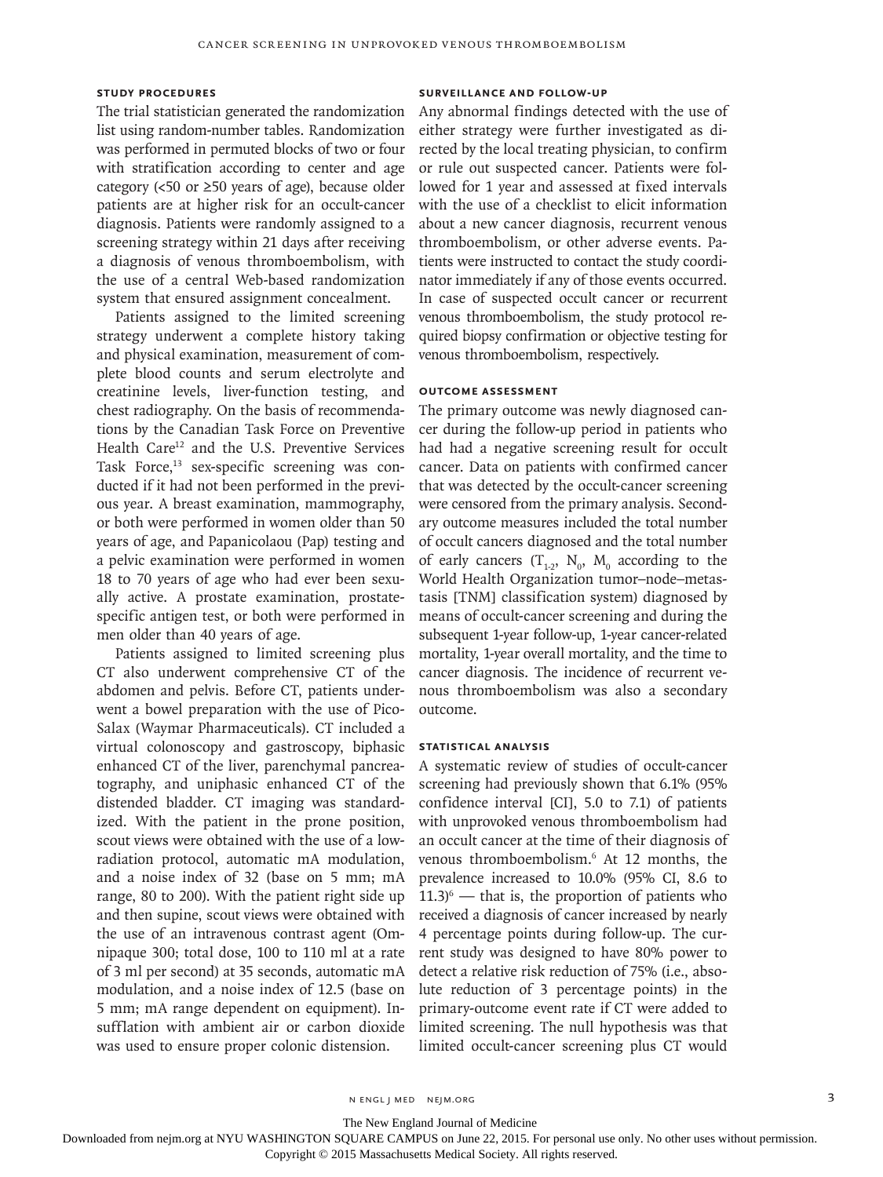# **Study Procedures**

The trial statistician generated the randomization list using random-number tables. Randomization was performed in permuted blocks of two or four with stratification according to center and age category (<50 or ≥50 years of age), because older patients are at higher risk for an occult-cancer diagnosis. Patients were randomly assigned to a screening strategy within 21 days after receiving a diagnosis of venous thromboembolism, with the use of a central Web-based randomization system that ensured assignment concealment.

Patients assigned to the limited screening strategy underwent a complete history taking and physical examination, measurement of complete blood counts and serum electrolyte and creatinine levels, liver-function testing, and chest radiography. On the basis of recommendations by the Canadian Task Force on Preventive Health Care<sup>12</sup> and the U.S. Preventive Services Task Force,<sup>13</sup> sex-specific screening was conducted if it had not been performed in the previous year. A breast examination, mammography, or both were performed in women older than 50 years of age, and Papanicolaou (Pap) testing and a pelvic examination were performed in women 18 to 70 years of age who had ever been sexually active. A prostate examination, prostatespecific antigen test, or both were performed in men older than 40 years of age.

Patients assigned to limited screening plus CT also underwent comprehensive CT of the abdomen and pelvis. Before CT, patients underwent a bowel preparation with the use of Pico-Salax (Waymar Pharmaceuticals). CT included a virtual colonoscopy and gastroscopy, biphasic enhanced CT of the liver, parenchymal pancreatography, and uniphasic enhanced CT of the distended bladder. CT imaging was standardized. With the patient in the prone position, scout views were obtained with the use of a lowradiation protocol, automatic mA modulation, and a noise index of 32 (base on 5 mm; mA range, 80 to 200). With the patient right side up and then supine, scout views were obtained with the use of an intravenous contrast agent (Omnipaque 300; total dose, 100 to 110 ml at a rate of 3 ml per second) at 35 seconds, automatic mA modulation, and a noise index of 12.5 (base on 5 mm; mA range dependent on equipment). Insufflation with ambient air or carbon dioxide was used to ensure proper colonic distension.

# **Surveillance and Follow-up**

Any abnormal findings detected with the use of either strategy were further investigated as directed by the local treating physician, to confirm or rule out suspected cancer. Patients were followed for 1 year and assessed at fixed intervals with the use of a checklist to elicit information about a new cancer diagnosis, recurrent venous thromboembolism, or other adverse events. Patients were instructed to contact the study coordinator immediately if any of those events occurred. In case of suspected occult cancer or recurrent venous thromboembolism, the study protocol required biopsy confirmation or objective testing for venous thromboembolism, respectively.

#### **Outcome Assessment**

The primary outcome was newly diagnosed cancer during the follow-up period in patients who had had a negative screening result for occult cancer. Data on patients with confirmed cancer that was detected by the occult-cancer screening were censored from the primary analysis. Secondary outcome measures included the total number of occult cancers diagnosed and the total number of early cancers  $(T_{1:2}, N_0, M_0$  according to the World Health Organization tumor–node–metastasis [TNM] classification system) diagnosed by means of occult-cancer screening and during the subsequent 1-year follow-up, 1-year cancer-related mortality, 1-year overall mortality, and the time to cancer diagnosis. The incidence of recurrent venous thromboembolism was also a secondary outcome.

## **Statistical Analysis**

A systematic review of studies of occult-cancer screening had previously shown that 6.1% (95% confidence interval [CI], 5.0 to 7.1) of patients with unprovoked venous thromboembolism had an occult cancer at the time of their diagnosis of venous thromboembolism.6 At 12 months, the prevalence increased to 10.0% (95% CI, 8.6 to  $11.3$ <sup>6</sup> — that is, the proportion of patients who received a diagnosis of cancer increased by nearly 4 percentage points during follow-up. The current study was designed to have 80% power to detect a relative risk reduction of 75% (i.e., absolute reduction of 3 percentage points) in the primary-outcome event rate if CT were added to limited screening. The null hypothesis was that limited occult-cancer screening plus CT would

n engl j med nejm.org 3

The New England Journal of Medicine

Downloaded from nejm.org at NYU WASHINGTON SQUARE CAMPUS on June 22, 2015. For personal use only. No other uses without permission.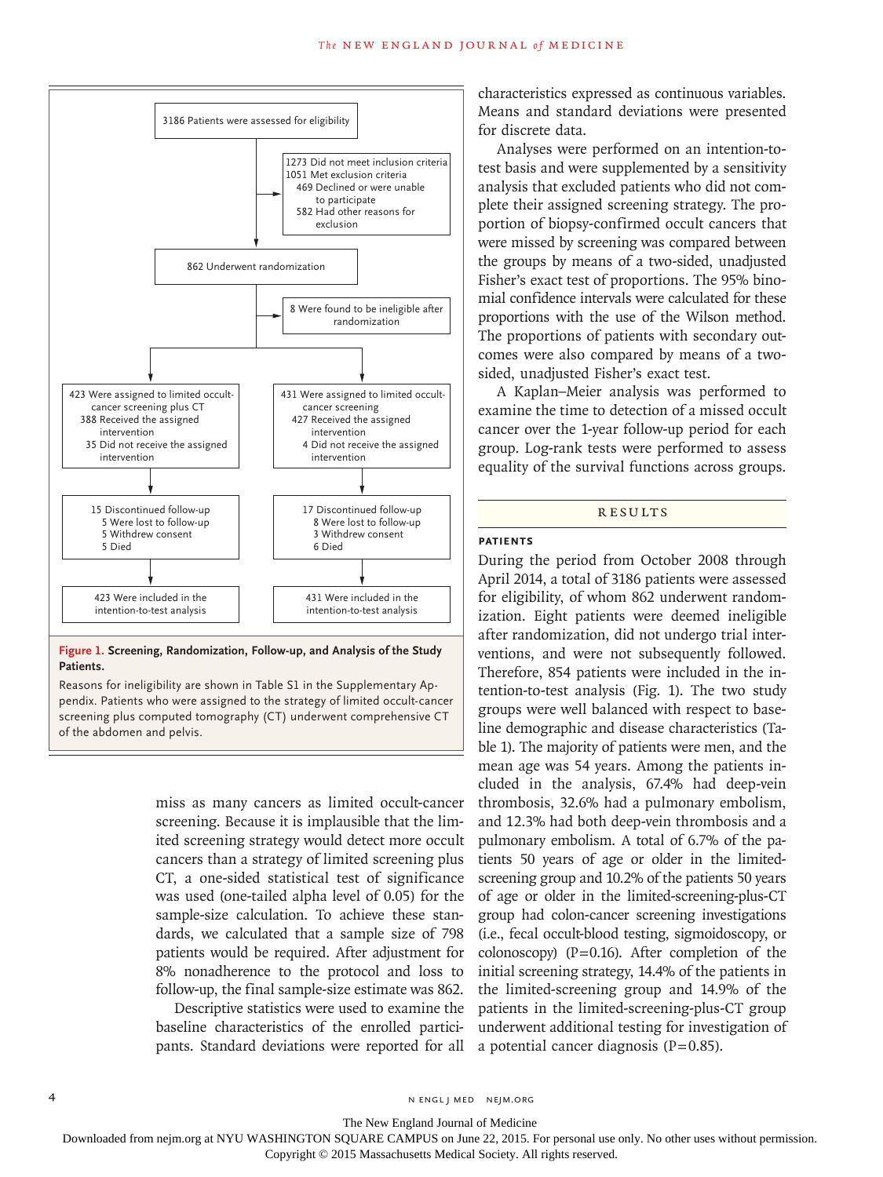

**Figure 1. Screening, Randomization, Follow-up, and Analysis of the Study Patients.**

Reasons for ineligibility are shown in Table S1 in the Supplementary Appendix. Patients who were assigned to the strategy of limited occult-cancer screening plus computed tomography (CT) underwent comprehensive CT of the abdomen and pelvis.

> miss as many cancers as limited occult-cancer screening. Because it is implausible that the limited screening strategy would detect more occult cancers than a strategy of limited screening plus CT, a one-sided statistical test of significance was used (one-tailed alpha level of 0.05) for the sample-size calculation. To achieve these standards, we calculated that a sample size of 798 patients would be required. After adjustment for 8% nonadherence to the protocol and loss to follow-up, the final sample-size estimate was 862.

> Descriptive statistics were used to examine the baseline characteristics of the enrolled participants. Standard deviations were reported for all

characteristics expressed as continuous variables. Means and standard deviations were presented for discrete data.

Analyses were performed on an intention-totest basis and were supplemented by a sensitivity analysis that excluded patients who did not complete their assigned screening strategy. The proportion of biopsy-confirmed occult cancers that were missed by screening was compared between the groups by means of a two-sided, unadjusted Fisher's exact test of proportions. The 95% binomial confidence intervals were calculated for these proportions with the use of the Wilson method. The proportions of patients with secondary outcomes were also compared by means of a twosided, unadjusted Fisher's exact test.

A Kaplan–Meier analysis was performed to examine the time to detection of a missed occult cancer over the 1-year follow-up period for each group. Log-rank tests were performed to assess equality of the survival functions across groups.

## Results

# **Patients**

During the period from October 2008 through April 2014, a total of 3186 patients were assessed for eligibility, of whom 862 underwent randomization. Eight patients were deemed ineligible after randomization, did not undergo trial interventions, and were not subsequently followed. Therefore, 854 patients were included in the intention-to-test analysis (Fig. 1). The two study groups were well balanced with respect to baseline demographic and disease characteristics (Table 1). The majority of patients were men, and the mean age was 54 years. Among the patients included in the analysis, 67.4% had deep-vein thrombosis, 32.6% had a pulmonary embolism, and 12.3% had both deep-vein thrombosis and a pulmonary embolism. A total of 6.7% of the patients 50 years of age or older in the limitedscreening group and 10.2% of the patients 50 years of age or older in the limited-screening-plus-CT group had colon-cancer screening investigations (i.e., fecal occult-blood testing, sigmoidoscopy, or colonoscopy) ( $P=0.16$ ). After completion of the initial screening strategy, 14.4% of the patients in the limited-screening group and 14.9% of the patients in the limited-screening-plus-CT group underwent additional testing for investigation of a potential cancer diagnosis  $(P=0.85)$ .

The New England Journal of Medicine

Downloaded from nejm.org at NYU WASHINGTON SQUARE CAMPUS on June 22, 2015. For personal use only. No other uses without permission.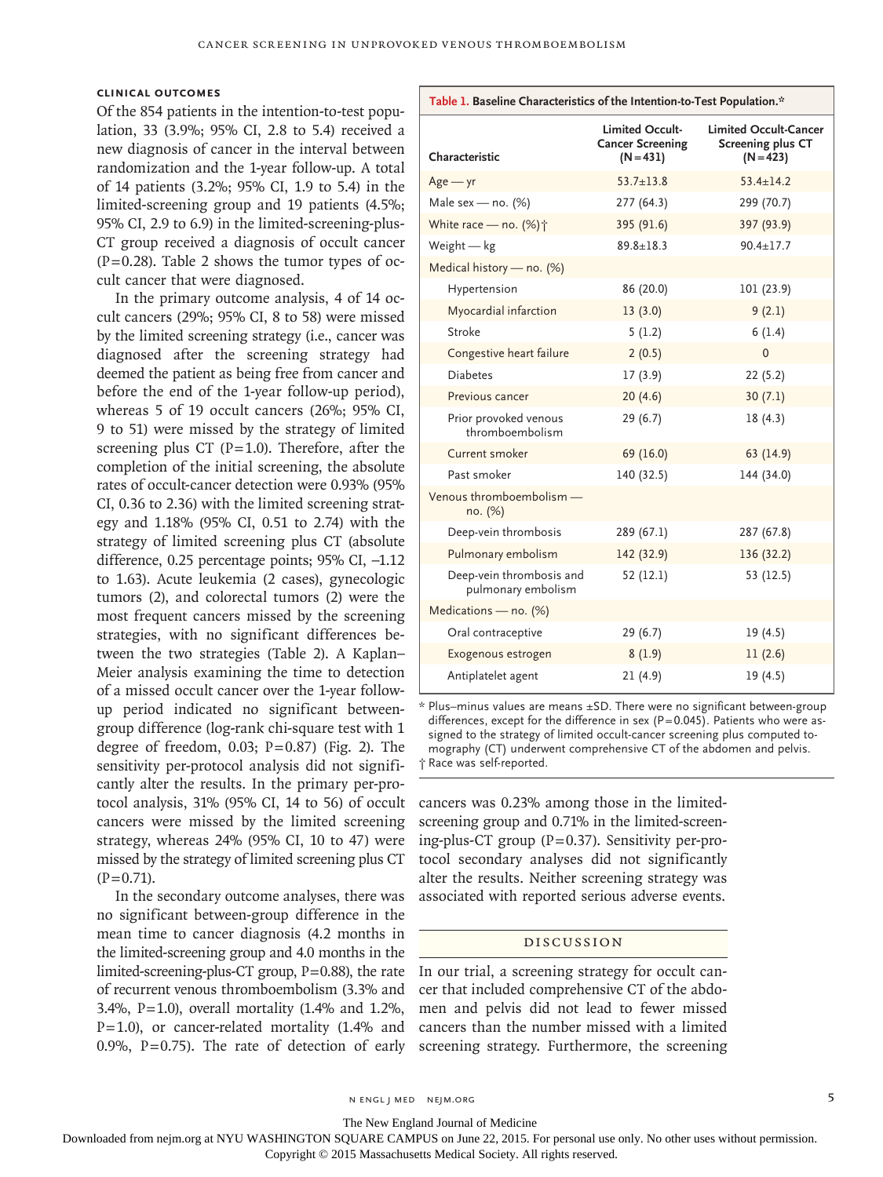## **Clinical Outcomes**

Of the 854 patients in the intention-to-test population, 33 (3.9%; 95% CI, 2.8 to 5.4) received a new diagnosis of cancer in the interval between randomization and the 1-year follow-up. A total of 14 patients (3.2%; 95% CI, 1.9 to 5.4) in the limited-screening group and 19 patients (4.5%; 95% CI, 2.9 to 6.9) in the limited-screening-plus-CT group received a diagnosis of occult cancer  $(P=0.28)$ . Table 2 shows the tumor types of occult cancer that were diagnosed.

In the primary outcome analysis, 4 of 14 occult cancers (29%; 95% CI, 8 to 58) were missed by the limited screening strategy (i.e., cancer was diagnosed after the screening strategy had deemed the patient as being free from cancer and before the end of the 1-year follow-up period), whereas 5 of 19 occult cancers (26%; 95% CI, 9 to 51) were missed by the strategy of limited screening plus CT ( $P=1.0$ ). Therefore, after the completion of the initial screening, the absolute rates of occult-cancer detection were 0.93% (95% CI, 0.36 to 2.36) with the limited screening strategy and 1.18% (95% CI, 0.51 to 2.74) with the strategy of limited screening plus CT (absolute difference, 0.25 percentage points; 95% CI, −1.12 to 1.63). Acute leukemia (2 cases), gynecologic tumors (2), and colorectal tumors (2) were the most frequent cancers missed by the screening strategies, with no significant differences between the two strategies (Table 2). A Kaplan– Meier analysis examining the time to detection of a missed occult cancer over the 1-year followup period indicated no significant betweengroup difference (log-rank chi-square test with 1 degree of freedom,  $0.03$ ;  $P=0.87$ ) (Fig. 2). The sensitivity per-protocol analysis did not significantly alter the results. In the primary per-protocol analysis, 31% (95% CI, 14 to 56) of occult cancers were missed by the limited screening strategy, whereas 24% (95% CI, 10 to 47) were missed by the strategy of limited screening plus CT  $(P=0.71)$ .

In the secondary outcome analyses, there was no significant between-group difference in the mean time to cancer diagnosis (4.2 months in the limited-screening group and 4.0 months in the limited-screening-plus-CT group, P=0.88), the rate of recurrent venous thromboembolism (3.3% and 3.4%, P=1.0), overall mortality (1.4% and 1.2%,  $P=1.0$ ), or cancer-related mortality (1.4% and 0.9%, P=0.75). The rate of detection of early

| Characteristic                                 | Limited Occult-<br><b>Cancer Screening</b><br>$(N = 431)$ | <b>Limited Occult-Cancer</b><br>Screening plus CT<br>$(N = 423)$ |
|------------------------------------------------|-----------------------------------------------------------|------------------------------------------------------------------|
| $Age - yr$                                     | $53.7 + 13.8$                                             | $53.4 + 14.2$                                                    |
| Male sex - no. $(%)$                           | 277 (64.3)                                                | 299 (70.7)                                                       |
| White race - no. (%) $\dagger$                 | 395 (91.6)                                                | 397 (93.9)                                                       |
| Weight $-$ kg                                  | $89.8 \pm 18.3$                                           | $90.4 + 17.7$                                                    |
| Medical history - no. (%)                      |                                                           |                                                                  |
| Hypertension                                   | 86 (20.0)                                                 | 101 (23.9)                                                       |
| Myocardial infarction                          | 13(3.0)                                                   | 9(2.1)                                                           |
| Stroke                                         | 5(1.2)                                                    | 6(1.4)                                                           |
| Congestive heart failure                       | 2(0.5)                                                    | $\Omega$                                                         |
| <b>Diabetes</b>                                | 17(3.9)                                                   | 22(5.2)                                                          |
| Previous cancer                                | 20(4.6)                                                   | 30(7.1)                                                          |
| Prior provoked venous<br>thromboembolism       | 29 (6.7)                                                  | 18(4.3)                                                          |
| Current smoker                                 | 69 (16.0)                                                 | 63 (14.9)                                                        |
| Past smoker                                    | 140 (32.5)                                                | 144 (34.0)                                                       |
| Venous thromboembolism -<br>no. (%)            |                                                           |                                                                  |
| Deep-vein thrombosis                           | 289 (67.1)                                                | 287 (67.8)                                                       |
| Pulmonary embolism                             | 142 (32.9)                                                | 136 (32.2)                                                       |
| Deep-vein thrombosis and<br>pulmonary embolism | 52(12.1)                                                  | 53 (12.5)                                                        |
| Medications - no. (%)                          |                                                           |                                                                  |
| Oral contraceptive                             | 29 (6.7)                                                  | 19 (4.5)                                                         |
| Exogenous estrogen                             | 8(1.9)                                                    | 11(2.6)                                                          |
| Antiplatelet agent                             | 21(4.9)                                                   | 19 (4.5)                                                         |

**Table 1. Baseline Characteristics of the Intention-to-Test Population.\***

\* Plus–minus values are means ±SD. There were no significant between-group differences, except for the difference in sex ( $P=0.045$ ). Patients who were assigned to the strategy of limited occult-cancer screening plus computed tomography (CT) underwent comprehensive CT of the abdomen and pelvis. † Race was self-reported.

cancers was 0.23% among those in the limitedscreening group and 0.71% in the limited-screening-plus-CT group (P=0.37). Sensitivity per-protocol secondary analyses did not significantly alter the results. Neither screening strategy was associated with reported serious adverse events.

#### Discussion

In our trial, a screening strategy for occult cancer that included comprehensive CT of the abdomen and pelvis did not lead to fewer missed cancers than the number missed with a limited screening strategy. Furthermore, the screening

n engl j med nejm.org 5

The New England Journal of Medicine

Downloaded from nejm.org at NYU WASHINGTON SQUARE CAMPUS on June 22, 2015. For personal use only. No other uses without permission.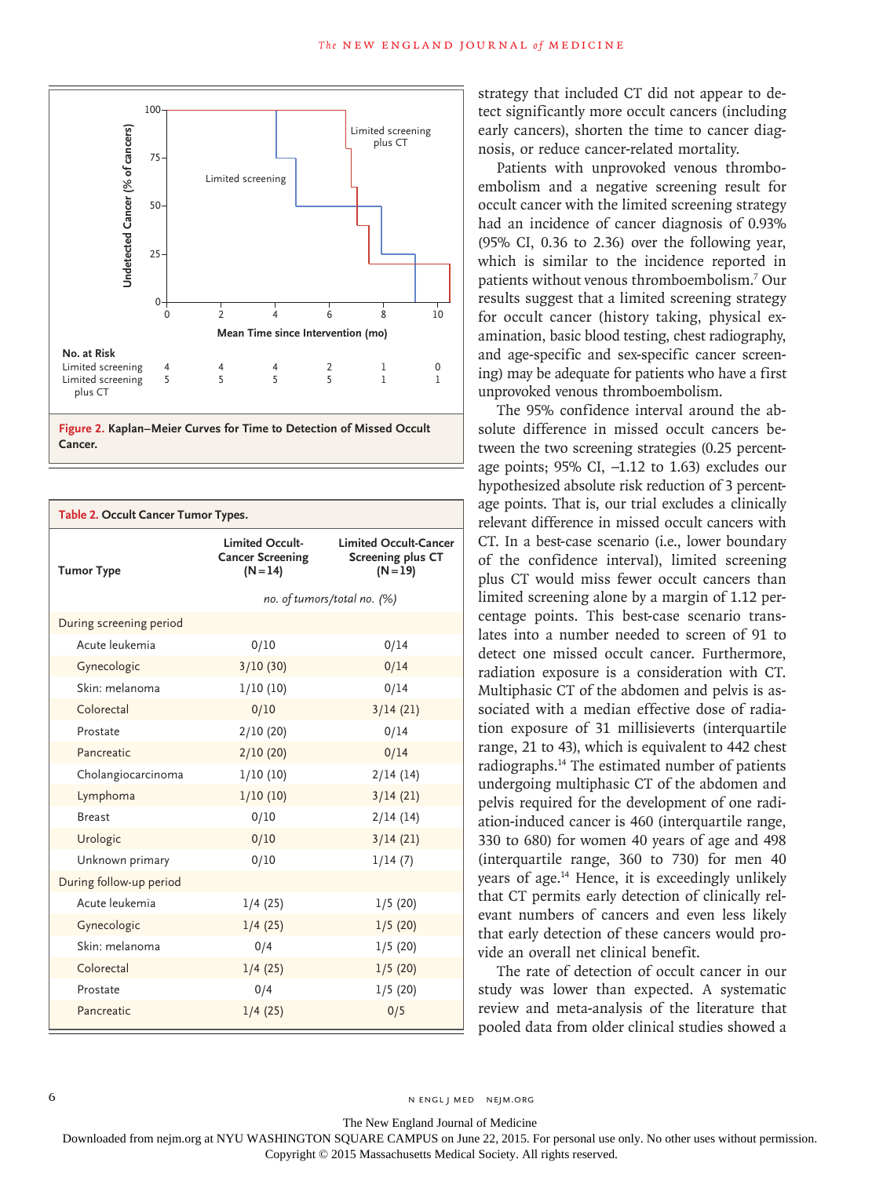



| Table 2. Occult Cancer Tumor Types. |                                                          |                                                                        |  |
|-------------------------------------|----------------------------------------------------------|------------------------------------------------------------------------|--|
| <b>Tumor Type</b>                   | Limited Occult-<br><b>Cancer Screening</b><br>$(N = 14)$ | <b>Limited Occult-Cancer</b><br><b>Screening plus CT</b><br>$(N = 19)$ |  |
|                                     |                                                          | no. of tumors/total no. (%)                                            |  |
| During screening period             |                                                          |                                                                        |  |
| Acute leukemia                      | 0/10                                                     | 0/14                                                                   |  |
| Gynecologic                         | 3/10(30)                                                 | 0/14                                                                   |  |
| Skin: melanoma                      | 1/10(10)                                                 | 0/14                                                                   |  |
| Colorectal                          | 0/10                                                     | 3/14(21)                                                               |  |
| Prostate                            | 2/10(20)                                                 | 0/14                                                                   |  |
| Pancreatic                          | 2/10(20)                                                 | 0/14                                                                   |  |
| Cholangiocarcinoma                  | 1/10(10)                                                 | 2/14(14)                                                               |  |
| Lymphoma                            | 1/10(10)                                                 | 3/14(21)                                                               |  |
| <b>Breast</b>                       | 0/10                                                     | 2/14(14)                                                               |  |
| Urologic                            | 0/10                                                     | 3/14(21)                                                               |  |
| Unknown primary                     | 0/10                                                     | 1/14(7)                                                                |  |
| During follow-up period             |                                                          |                                                                        |  |
| Acute leukemia                      | 1/4(25)                                                  | 1/5(20)                                                                |  |
| Gynecologic                         | 1/4(25)                                                  | 1/5(20)                                                                |  |
| Skin: melanoma                      | 0/4                                                      | 1/5(20)                                                                |  |
| Colorectal                          | 1/4(25)                                                  | 1/5(20)                                                                |  |
| Prostate                            | 0/4                                                      | 1/5(20)                                                                |  |
| Pancreatic                          | 1/4(25)                                                  | 0/5                                                                    |  |

strategy that included CT did not appear to detect significantly more occult cancers (including early cancers), shorten the time to cancer diagnosis, or reduce cancer-related mortality.

Patients with unprovoked venous thromboembolism and a negative screening result for occult cancer with the limited screening strategy had an incidence of cancer diagnosis of 0.93% (95% CI, 0.36 to 2.36) over the following year, which is similar to the incidence reported in patients without venous thromboembolism.7 Our results suggest that a limited screening strategy for occult cancer (history taking, physical examination, basic blood testing, chest radiography, and age-specific and sex-specific cancer screening) may be adequate for patients who have a first unprovoked venous thromboembolism.

The 95% confidence interval around the absolute difference in missed occult cancers between the two screening strategies (0.25 percentage points; 95% CI, −1.12 to 1.63) excludes our hypothesized absolute risk reduction of 3 percentage points. That is, our trial excludes a clinically relevant difference in missed occult cancers with CT. In a best-case scenario (i.e., lower boundary of the confidence interval), limited screening plus CT would miss fewer occult cancers than limited screening alone by a margin of 1.12 percentage points. This best-case scenario translates into a number needed to screen of 91 to detect one missed occult cancer. Furthermore, radiation exposure is a consideration with CT. Multiphasic CT of the abdomen and pelvis is associated with a median effective dose of radiation exposure of 31 millisieverts (interquartile range, 21 to 43), which is equivalent to 442 chest radiographs.14 The estimated number of patients undergoing multiphasic CT of the abdomen and pelvis required for the development of one radiation-induced cancer is 460 (interquartile range, 330 to 680) for women 40 years of age and 498 (interquartile range, 360 to 730) for men 40 years of age.14 Hence, it is exceedingly unlikely that CT permits early detection of clinically relevant numbers of cancers and even less likely that early detection of these cancers would provide an overall net clinical benefit.

The rate of detection of occult cancer in our study was lower than expected. A systematic review and meta-analysis of the literature that pooled data from older clinical studies showed a

The New England Journal of Medicine

Downloaded from nejm.org at NYU WASHINGTON SQUARE CAMPUS on June 22, 2015. For personal use only. No other uses without permission.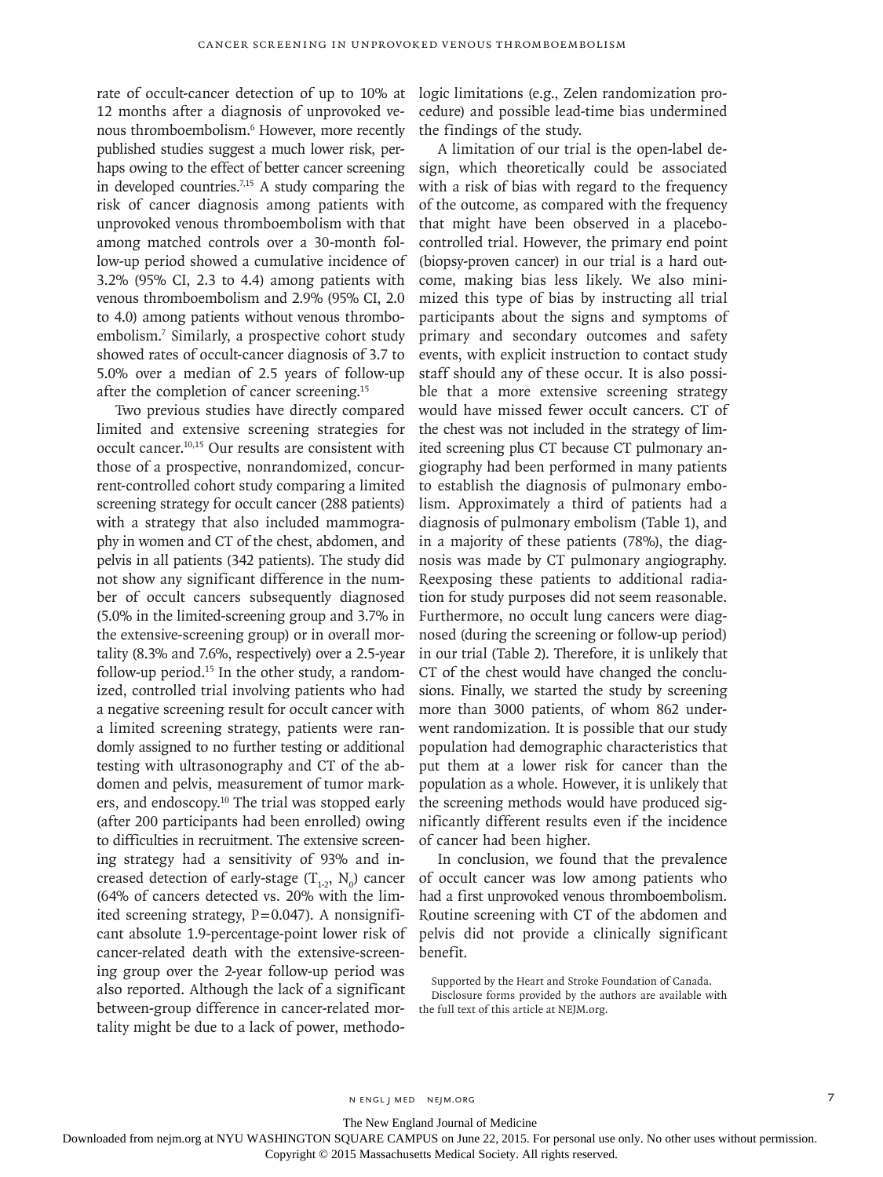rate of occult-cancer detection of up to 10% at 12 months after a diagnosis of unprovoked venous thromboembolism.<sup>6</sup> However, more recently published studies suggest a much lower risk, perhaps owing to the effect of better cancer screening in developed countries.7,15 A study comparing the risk of cancer diagnosis among patients with unprovoked venous thromboembolism with that among matched controls over a 30-month follow-up period showed a cumulative incidence of 3.2% (95% CI, 2.3 to 4.4) among patients with venous thromboembolism and 2.9% (95% CI, 2.0 to 4.0) among patients without venous thromboembolism.7 Similarly, a prospective cohort study showed rates of occult-cancer diagnosis of 3.7 to 5.0% over a median of 2.5 years of follow-up after the completion of cancer screening.<sup>15</sup>

Two previous studies have directly compared limited and extensive screening strategies for occult cancer.10,15 Our results are consistent with those of a prospective, nonrandomized, concurrent-controlled cohort study comparing a limited screening strategy for occult cancer (288 patients) with a strategy that also included mammography in women and CT of the chest, abdomen, and pelvis in all patients (342 patients). The study did not show any significant difference in the number of occult cancers subsequently diagnosed (5.0% in the limited-screening group and 3.7% in the extensive-screening group) or in overall mortality (8.3% and 7.6%, respectively) over a 2.5-year follow-up period. $15$  In the other study, a randomized, controlled trial involving patients who had a negative screening result for occult cancer with a limited screening strategy, patients were randomly assigned to no further testing or additional testing with ultrasonography and CT of the abdomen and pelvis, measurement of tumor markers, and endoscopy.<sup>10</sup> The trial was stopped early (after 200 participants had been enrolled) owing to difficulties in recruitment. The extensive screening strategy had a sensitivity of 93% and increased detection of early-stage  $(T_{1:2}, N_0)$  cancer (64% of cancers detected vs. 20% with the limited screening strategy,  $P=0.047$ ). A nonsignificant absolute 1.9-percentage-point lower risk of cancer-related death with the extensive-screening group over the 2-year follow-up period was also reported. Although the lack of a significant between-group difference in cancer-related mortality might be due to a lack of power, methodologic limitations (e.g., Zelen randomization procedure) and possible lead-time bias undermined the findings of the study.

A limitation of our trial is the open-label design, which theoretically could be associated with a risk of bias with regard to the frequency of the outcome, as compared with the frequency that might have been observed in a placebocontrolled trial. However, the primary end point (biopsy-proven cancer) in our trial is a hard outcome, making bias less likely. We also minimized this type of bias by instructing all trial participants about the signs and symptoms of primary and secondary outcomes and safety events, with explicit instruction to contact study staff should any of these occur. It is also possible that a more extensive screening strategy would have missed fewer occult cancers. CT of the chest was not included in the strategy of limited screening plus CT because CT pulmonary angiography had been performed in many patients to establish the diagnosis of pulmonary embolism. Approximately a third of patients had a diagnosis of pulmonary embolism (Table 1), and in a majority of these patients (78%), the diagnosis was made by CT pulmonary angiography. Reexposing these patients to additional radiation for study purposes did not seem reasonable. Furthermore, no occult lung cancers were diagnosed (during the screening or follow-up period) in our trial (Table 2). Therefore, it is unlikely that CT of the chest would have changed the conclusions. Finally, we started the study by screening more than 3000 patients, of whom 862 underwent randomization. It is possible that our study population had demographic characteristics that put them at a lower risk for cancer than the population as a whole. However, it is unlikely that the screening methods would have produced significantly different results even if the incidence of cancer had been higher.

In conclusion, we found that the prevalence of occult cancer was low among patients who had a first unprovoked venous thromboembolism. Routine screening with CT of the abdomen and pelvis did not provide a clinically significant benefit.

Supported by the Heart and Stroke Foundation of Canada. Disclosure forms provided by the authors are available with the full text of this article at NEJM.org.

The New England Journal of Medicine

Downloaded from nejm.org at NYU WASHINGTON SQUARE CAMPUS on June 22, 2015. For personal use only. No other uses without permission.